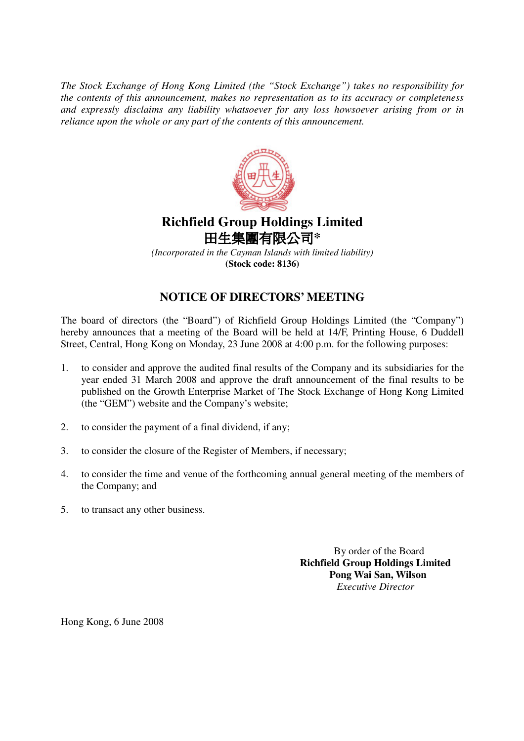*The Stock Exchange of Hong Kong Limited (the "Stock Exchange") takes no responsibility for the contents of this announcement, makes no representation as to its accuracy or completeness and expressly disclaims any liability whatsoever for any loss howsoever arising from or in reliance upon the whole or any part of the contents of this announcement.*



## **Richfield Group Holdings Limited** 田生集團有限公司\*

*(Incorporated in the Cayman Islands with limited liability)* **(Stock code: 8136)**

## **NOTICE OF DIRECTORS' MEETING**

The board of directors (the "Board") of Richfield Group Holdings Limited (the "Company") hereby announces that a meeting of the Board will be held at 14/F, Printing House, 6 Duddell Street, Central, Hong Kong on Monday, 23 June 2008 at 4:00 p.m. for the following purposes:

- 1. to consider and approve the audited final results of the Company and its subsidiaries for the year ended 31 March 2008 and approve the draft announcement of the final results to be published on the Growth Enterprise Market of The Stock Exchange of Hong Kong Limited (the "GEM") website and the Company's website;
- 2. to consider the payment of a final dividend, if any;
- 3. to consider the closure of the Register of Members, if necessary;
- 4. to consider the time and venue of the forthcoming annual general meeting of the members of the Company; and
- 5. to transact any other business.

By order of the Board **Richfield Group Holdings Limited Pong Wai San, Wilson** *Executive Director*

Hong Kong, 6 June 2008